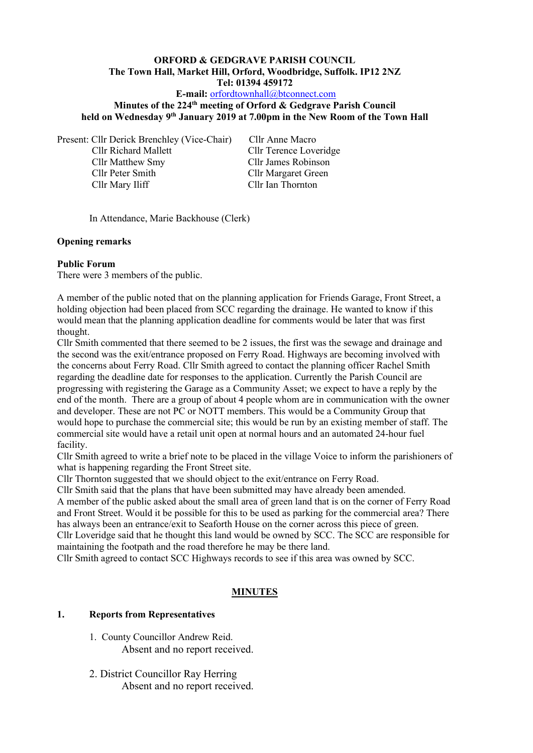#### **ORFORD & GEDGRAVE PARISH COUNCIL The Town Hall, Market Hill, Orford, Woodbridge, Suffolk. IP12 2NZ Tel: 01394 459172 E-mail:** [orfordtownhall@btconnect.com](mailto:orfordtownhall@btconnect.com)

# **Minutes of the 224 th meeting of Orford & Gedgrave Parish Council**

**held on Wednesday 9 th January 2019 at 7.00pm in the New Room of the Town Hall**

Present: Cllr Derick Brenchley (Vice-Chair) Cllr Anne Macro

Cllr Matthew Smy Cllr James Robinson Cllr Peter Smith Cllr Margaret Green Cllr Mary Iliff Cllr Ian Thornton

Cllr Richard Mallett Cllr Terence Loveridge

In Attendance, Marie Backhouse (Clerk)

# **Opening remarks**

# **Public Forum**

There were 3 members of the public.

A member of the public noted that on the planning application for Friends Garage, Front Street, a holding objection had been placed from SCC regarding the drainage. He wanted to know if this would mean that the planning application deadline for comments would be later that was first thought.

Cllr Smith commented that there seemed to be 2 issues, the first was the sewage and drainage and the second was the exit/entrance proposed on Ferry Road. Highways are becoming involved with the concerns about Ferry Road. Cllr Smith agreed to contact the planning officer Rachel Smith regarding the deadline date for responses to the application. Currently the Parish Council are progressing with registering the Garage as a Community Asset; we expect to have a reply by the end of the month. There are a group of about 4 people whom are in communication with the owner and developer. These are not PC or NOTT members. This would be a Community Group that would hope to purchase the commercial site; this would be run by an existing member of staff. The commercial site would have a retail unit open at normal hours and an automated 24-hour fuel facility.

Cllr Smith agreed to write a brief note to be placed in the village Voice to inform the parishioners of what is happening regarding the Front Street site.

Cllr Thornton suggested that we should object to the exit/entrance on Ferry Road.

Cllr Smith said that the plans that have been submitted may have already been amended.

A member of the public asked about the small area of green land that is on the corner of Ferry Road and Front Street. Would it be possible for this to be used as parking for the commercial area? There has always been an entrance/exit to Seaforth House on the corner across this piece of green.

Cllr Loveridge said that he thought this land would be owned by SCC. The SCC are responsible for maintaining the footpath and the road therefore he may be there land.

Cllr Smith agreed to contact SCC Highways records to see if this area was owned by SCC.

# **MINUTES**

# **1. Reports from Representatives**

- 1. County Councillor Andrew Reid. Absent and no report received.
- 2. District Councillor Ray Herring Absent and no report received.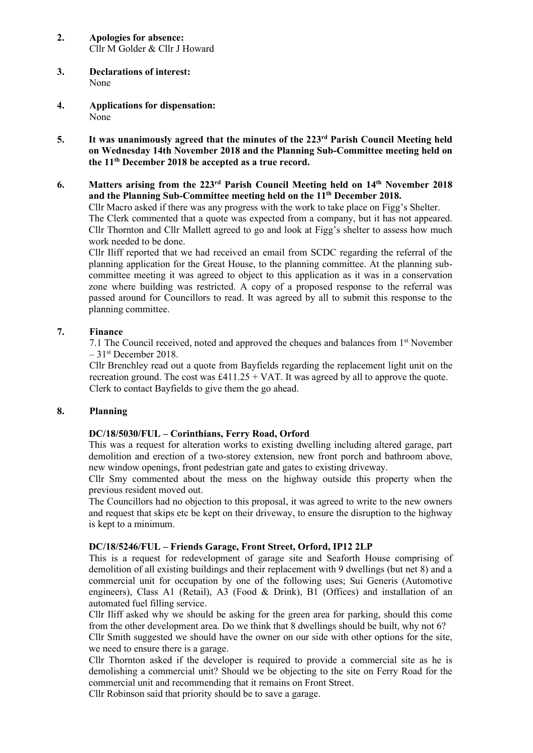- **2. Apologies for absence:** Cllr M Golder & Cllr J Howard
- **3. Declarations of interest:** None
- **4. Applications for dispensation:** None
- **5. It was unanimously agreed that the minutes of the 223rd Parish Council Meeting held on Wednesday 14th November 2018 and the Planning Sub-Committee meeting held on the 11th December 2018 be accepted as a true record.**
- **6. Matters arising from the 223 rd Parish Council Meeting held on 14 th November 2018 and the Planning Sub-Committee meeting held on the 11th December 2018.**

Cllr Macro asked if there was any progress with the work to take place on Figg's Shelter.

The Clerk commented that a quote was expected from a company, but it has not appeared. Cllr Thornton and Cllr Mallett agreed to go and look at Figg's shelter to assess how much work needed to be done.

Cllr Iliff reported that we had received an email from SCDC regarding the referral of the planning application for the Great House, to the planning committee. At the planning subcommittee meeting it was agreed to object to this application as it was in a conservation zone where building was restricted. A copy of a proposed response to the referral was passed around for Councillors to read. It was agreed by all to submit this response to the planning committee.

#### **7. Finance**

7.1 The Council received, noted and approved the cheques and balances from  $1<sup>st</sup>$  November – 31 st December 2018.

Cllr Brenchley read out a quote from Bayfields regarding the replacement light unit on the recreation ground. The cost was  $£411.25 + VAT$ . It was agreed by all to approve the quote. Clerk to contact Bayfields to give them the go ahead.

#### **8. Planning**

#### **DC/18/5030/FUL – Corinthians, Ferry Road, Orford**

This was a request for alteration works to existing dwelling including altered garage, part demolition and erection of a two-storey extension, new front porch and bathroom above, new window openings, front pedestrian gate and gates to existing driveway.

Cllr Smy commented about the mess on the highway outside this property when the previous resident moved out.

The Councillors had no objection to this proposal, it was agreed to write to the new owners and request that skips etc be kept on their driveway, to ensure the disruption to the highway is kept to a minimum.

#### **DC/18/5246/FUL – Friends Garage, Front Street, Orford, IP12 2LP**

This is a request for redevelopment of garage site and Seaforth House comprising of demolition of all existing buildings and their replacement with 9 dwellings (but net 8) and a commercial unit for occupation by one of the following uses; Sui Generis (Automotive engineers), Class A1 (Retail), A3 (Food & Drink), B1 (Offices) and installation of an automated fuel filling service.

Cllr Iliff asked why we should be asking for the green area for parking, should this come from the other development area. Do we think that 8 dwellings should be built, why not 6?

Cllr Smith suggested we should have the owner on our side with other options for the site, we need to ensure there is a garage.

Cllr Thornton asked if the developer is required to provide a commercial site as he is demolishing a commercial unit? Should we be objecting to the site on Ferry Road for the commercial unit and recommending that it remains on Front Street.

Cllr Robinson said that priority should be to save a garage.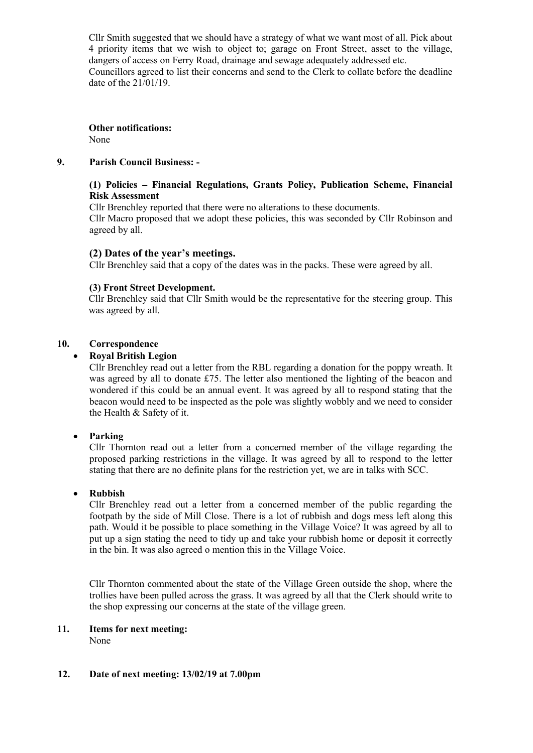Cllr Smith suggested that we should have a strategy of what we want most of all. Pick about 4 priority items that we wish to object to; garage on Front Street, asset to the village, dangers of access on Ferry Road, drainage and sewage adequately addressed etc. Councillors agreed to list their concerns and send to the Clerk to collate before the deadline date of the 21/01/19.

**Other notifications:** None

# **9. Parish Council Business: -**

# **(1) Policies – Financial Regulations, Grants Policy, Publication Scheme, Financial Risk Assessment**

Cllr Brenchley reported that there were no alterations to these documents.

Cllr Macro proposed that we adopt these policies, this was seconded by Cllr Robinson and agreed by all.

# **(2) Dates of the year's meetings.**

Cllr Brenchley said that a copy of the dates was in the packs. These were agreed by all.

#### **(3) Front Street Development.**

Cllr Brenchley said that Cllr Smith would be the representative for the steering group. This was agreed by all.

#### **10. Correspondence**

#### • **Royal British Legion**

Cllr Brenchley read out a letter from the RBL regarding a donation for the poppy wreath. It was agreed by all to donate £75. The letter also mentioned the lighting of the beacon and wondered if this could be an annual event. It was agreed by all to respond stating that the beacon would need to be inspected as the pole was slightly wobbly and we need to consider the Health & Safety of it.

# • **Parking**

Cllr Thornton read out a letter from a concerned member of the village regarding the proposed parking restrictions in the village. It was agreed by all to respond to the letter stating that there are no definite plans for the restriction yet, we are in talks with SCC.

# • **Rubbish**

Cllr Brenchley read out a letter from a concerned member of the public regarding the footpath by the side of Mill Close. There is a lot of rubbish and dogs mess left along this path. Would it be possible to place something in the Village Voice? It was agreed by all to put up a sign stating the need to tidy up and take your rubbish home or deposit it correctly in the bin. It was also agreed o mention this in the Village Voice.

Cllr Thornton commented about the state of the Village Green outside the shop, where the trollies have been pulled across the grass. It was agreed by all that the Clerk should write to the shop expressing our concerns at the state of the village green.

# **11. Items for next meeting:**

None

#### **12. Date of next meeting: 13/02/19 at 7.00pm**